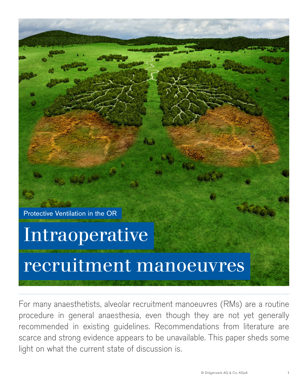Protective Ventilation in the OR

# Intraoperative

# recruitment manoeuvres

For many anaesthetists, alveolar recruitment manoeuvres (RMs) are a routine procedure in general anaesthesia, even though they are not yet generally recommended in existing guidelines. Recommendations from literature are scarce and strong evidence appears to be unavailable. This paper sheds some light on what the current state of discussion is.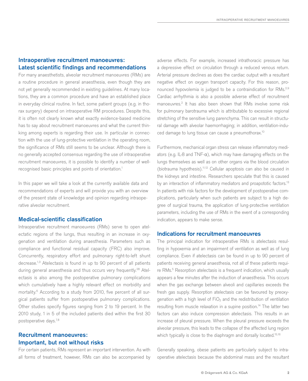## Intraoperative recruitment manoeuvres: Latest scientific findings and recommendations

For many anaesthetists, alveolar recruitment manoeuvres (RMs) are a routine procedure in general anaesthesia, even though they are not yet generally recommended in existing guidelines. At many locations, they are a common procedure and have an established place in everyday clinical routine. In fact, some patient groups (e.g. in thorax surgery) depend on intraoperative RM procedures. Despite this, it is often not clearly known what exactly evidence-based medicine has to say about recruitment manoeuvres and what the current thinking among experts is regarding their use. In particular in connection with the use of lung-protective ventilation in the operating room, the significance of RMs still seems to be unclear. Although there is no generally accepted consensus regarding the use of intraoperative recruitment manoeuvres, it is possible to identify a number of wellrecognised basic principles and points of orientation.<sup>1</sup>

In this paper we will take a look at the currently available data and recommendations of experts and will provide you with an overview of the present state of knowledge and opinion regarding intraoperative alveolar recruitment.

#### Medical-scientific classification

Intraoperative recruitment manoeuvres (RMs) serve to open atelectatic regions of the lungs, thus resulting in an increase in oxygenation and ventilation during anaesthesia. Parameters such as compliance and functional residual capacity (FRC) also improve. Concurrently, respiratory effort and pulmonary right-to-left shunt decrease.1,3 Atelectasis is found in up to 90 percent of all patients during general anaesthesia and thus occurs very frequently.<sup>28</sup> Atelectasis is also among the postoperative pulmonary complications which cumulatively have a highly relevant effect on morbidity and mortality.<sup>6</sup> According to a study from 2010, five percent of all surgical patients suffer from postoperative pulmonary complications. Other studies specify figures ranging from 2 to 19 percent. In the 2010 study, 1 in 5 of the included patients died within the first 30 postoperative days.7,8

## Recruitment manoeuvres: Important, but not without risks

For certain patients, RMs represent an important intervention. As with all forms of treatment, however, RMs can also be accompanied by adverse effects. For example, increased intrathoracic pressure has a depressive effect on circulation through a reduced venous return. Arterial pressure declines as does the cardiac output with a resultant negative effect on oxygen transport capacity. For this reason, pronounced hypovolemia is judged to be a contraindication for RMs.2,9 Cardiac arrhythmia is also a possible adverse effect of recruitment manoeuvres.2 It has also been shown that RMs involve some risk for pulmonary barotrauma which is attributable to excessive regional stretching of the sensitive lung parenchyma. This can result in structural damage with alveolar haemorrhaging; in addition, ventilation-induced damage to lung tissue can cause a pneumothorax.10

Furthermore, mechanical organ stress can release inflammatory mediators (e.g. IL-8 and TNF- $\alpha$ ), which may have damaging effects on the lungs themselves as well as on other organs via the blood circulation (biotrauma hypothesis).11,12 Cellular apoptosis can also be caused in the kidneys and intestine. Researchers speculate that this is caused by an interaction of inflammatory mediators and proapototic factors.<sup>13</sup> In patients with risk factors for the development of postoperative complications, particularly when such patients are subject to a high degree of surgical trauma, the application of lung-protective ventilation parameters, including the use of RMs in the event of a corresponding indication, appears to make sense.

#### Indications for recruitment manoeuvres

The principal indication for intraoperative RMs is atelectasis resulting in hypoxemia and an impairment of ventilation as well as of lung compliance. Even if atelectasis can be found in up to 90 percent of patients receiving general anaesthesia, not all of these patients require RMs.<sup>5</sup> Resorption atelectasis is a frequent indication, which usually appears a few minutes after the induction of anaesthesia. This occurs when the gas exchange between alveoli and capillaries exceeds the fresh gas supply. Resorption atelectasis can be favoured by preoxygenation with a high level of  $FiO<sub>2</sub>$  and the redistribution of ventilation resulting from muscle relaxation in a supine position.<sup>14</sup> The latter two factors can also induce compression atelectasis. This results in an increase of pleural pressure. When the pleural pressure exceeds the alveolar pressure, this leads to the collapse of the affected lung region which typically is close to the diaphragm and dorsally located.<sup>15,16</sup>

Generally speaking, obese patients are particularly subject to intraoperative atelectasis because the abdominal mass and the resultant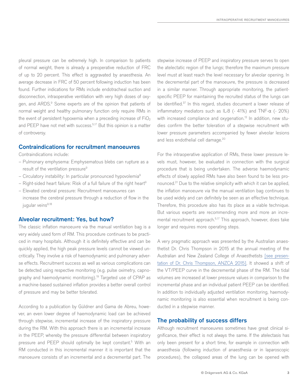pleural pressure can be extremely high. In comparison to patients of normal weight, there is already a preoperative reduction of FRC of up to 20 percent. This effect is aggravated by anaesthesia. An average decrease in FRC of 50 percent following induction has been found. Further indications for RMs include endotracheal suction and disconnection, intraoperative ventilation with very high doses of oxygen, and ARDS.<sup>9</sup> Some experts are of the opinion that patients of normal weight and healthy pulmonary function only require RMs in the event of persistent hypoxemia when a preceding increase of  $FiO<sub>2</sub>$ and PEEP have not met with success.<sup>5,17</sup> But this opinion is a matter of controversy.

#### Contraindications for recruitment manoeuvres

Contraindications include:

- Pulmonary emphysema: Emphysematous blebs can rupture as a result of the ventilation pressure<sup>9</sup>
- Circulatory instability: In particular pronounced hypovolemia9
- $-$  Right-sided heart failure: Risk of a full failure of the right heart<sup>9</sup>
- Elevated cerebral pressure: Recruitment manoeuvres can increase the cerebral pressure through a reduction of flow in the jugular veins<sup>9,18</sup>

#### Alveolar recruitment: Yes, but how?

The classic inflation manoeuvre via the manual ventilation bag is a very widely used form of RM. This procedure continues to be practiced in many hospitals. Although it is definitely effective and can be quickly applied, the high peak pressure levels cannot be viewed uncritically. They involve a risk of haemodynamic and pulmonary adverse effects. Recruitment success as well as various complications can be detected using respective monitoring (e.g. pulse oximetry, capnography and haemodynamic monitoring).19 Targeted use of CPAP as a machine-based sustained inflation provides a better overall control of pressure and may be better tolerated.

According to a publication by Güldner and Gama de Abreu, however, an even lower degree of haemodynamic load can be achieved through stepwise, incremental increase of the inspiratory pressure during the RM. With this approach there is an incremental increase in the PEEP, whereby the pressure differential between inspiratory pressure and PEEP should optimally be kept constant.<sup>5</sup> With an RM conducted in this incremental manner it is important that the manoeuvre consists of an incremental and a decremental part. The

stepwise increase of PEEP and inspiratory pressure serves to open the atelectatic region of the lungs; therefore the maximum pressure level must at least reach the level necessary for alveolar opening. In the decremental part of the manoeuvre, the pressure is decreased in a similar manner. Through appropriate monitoring, the patientspecific PEEP for maintaining the recruited status of the lungs can be identified.37 In this regard, studies document a lower release of inflammatory mediators such as IL-8 (- 41%) and TNF-α (- 20%) with increased compliance and oxygenation.<sup>12</sup> In addition, new studies confirm the better toleration of a stepwise recruitment with lower pressure parameters accompanied by fewer alveolar lesions and less endothelial cell damage.<sup>20</sup>

For the intraoperative application of RMs, these lower pressure levels must, however, be evaluated in connection with the surgical procedure that is being undertaken. The adverse haemodynamic effects of slowly applied RMs have also been found to be less pronounced.21 Due to the relative simplicity with which it can be applied, the inflation manoeuvre via the manual ventilation bag continues to be used widely and can definitely be seen as an effective technique. Therefore, this procedure also has its place as a viable technique. But various experts are recommending more and more an incremental recruitment approach.<sup>5,17</sup> This approach, however, does take longer and requires more operating steps.

A very pragmatic approach was presented by the Australian anaesthetist Dr. Chris Thompson in 2015 at the annual meeting of the Australian and New Zealand College of Anaesthetists [\[see presen](https://www.youtube.com/watch?v=sU7sgTH2seA&feature=youtu.be)[tation of Dr. Chris Thompson, ANZCA 2015\]](https://www.youtube.com/watch?v=sU7sgTH2seA&feature=youtu.be). It showed a shift of the VT/PEEP curve in the decremental phase of the RM. The tidal volumes are increased at lower pressure values in comparison to the incremental phase and an individual patient PEEP can be identified. In addition to individually adjusted ventilation monitoring, haemodynamic monitoring is also essential when recruitment is being conducted in a stepwise manner.

#### The probability of success differs

Although recruitment manoeuvres sometimes have great clinical significance, their effect is not always the same. If the atelectasis has only been present for a short time, for example in connection with anaesthesia (following induction of anaesthesia or in laparoscopic procedures), the collapsed areas of the lung can be opened with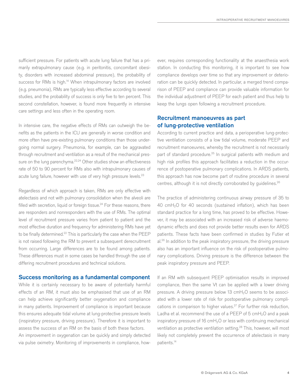sufficient pressure. For patients with acute lung failure that has a primarily extrapulmonary cause (e.g. in peritonitis, concomitant obesity, disorders with increased abdominal pressure), the probability of success for RMs is high.<sup>14</sup> When intrapulmonary factors are involved (e.g. pneumonia), RMs are typically less effective according to several studies, and the probability of success is only five to ten percent. This second constellation, however, is found more frequently in intensive care settings and less often in the operating room.

In intensive care, the negative effects of RMs can outweigh the benefits as the patients in the ICU are generally in worse condition and more often have pre-existing pulmonary conditions than those undergoing normal surgery. Pneumonia, for example, can be aggravated through recruitment and ventilation as a result of the mechanical pressure on the lung parenchyma.<sup>22,24</sup> Other studies show an effectiveness rate of 50 to 90 percent for RMs also with intrapulmonary causes of acute lung failure, however with use of very high pressure levels.<sup>23</sup>

Regardless of which approach is taken, RMs are only effective with atelectasis and not with pulmonary consolidation when the alveoli are filled with secretion, liquid or foreign tissue.<sup>24</sup> For these reasons, there are responders and nonresponders with the use of RMs. The optimal level of recruitment pressure varies from patient to patient and the most effective duration and frequency for administering RMs have yet to be finally determined.<sup>22</sup> This is particularly the case when the PEEP is not raised following the RM to prevent a subsequent derecruitment from occurring. Large differences are to be found among patients. These differences must in some cases be handled through the use of differing recruitment procedures and technical solutions.

#### Success monitoring as a fundamental component

While it is certainly necessary to be aware of potentially harmful effects of an RM, it must also be emphasised that use of an RM can help achieve significantly better oxygenation and compliance in many patients. Improvement of compliance is important because this ensures adequate tidal volume at lung-protective pressure levels (inspiratory pressure, driving pressure). Therefore it is important to assess the success of an RM on the basis of both these factors. An improvement in oxygenation can be quickly and simply detected

via pulse oximetry. Monitoring of improvements in compliance, how-

ever, requires corresponding functionality at the anaesthesia work station. In conducting this monitoring, it is important to see how compliance develops over time so that any improvement or deterioration can be quickly detected. In particular, a merged trend comparison of PEEP and compliance can provide valuable information for the individual adjustment of PEEP for each patient and thus help to keep the lungs open following a recruitment procedure.

# Recruitment manoeuvres as part of lung-protective ventilation

According to current practice and data, a perioperative lung-protective ventilation consists of a low tidal volume, moderate PEEP and recruitment manoeuvres, whereby the recruitment is not necessarily part of standard procedure.25 In surgical patients with medium and high risk profiles this approach facilitates a reduction in the occurrence of postoperative pulmonary complications. In ARDS patients, this approach has now become part of routine procedure in several centres, although it is not directly corroborated by guidelines.26

The practice of administering continuous airway pressure of 35 to 40 cm $H<sub>2</sub>O$  for 40 seconds (sustained inflation), which has been standard practice for a long time, has proved to be effective. However, it may be associated with an increased risk of adverse haemodynamic effects and does not provide better results even for ARDS patients. These facts have been confirmed in studies by Futier et al.<sup>26</sup> In addition to the peak inspiratory pressure, the driving pressure also has an important influence on the risk of postoperative pulmonary complications. Driving pressure is the difference between the peak inspiratory pressure and PEEP.

If an RM with subsequent PEEP optimisation results in improved compliance, then the same Vt can be applied with a lower driving pressure. A driving pressure below 13 cmH<sub>2</sub>O seems to be associated with a lower rate of risk for postoperative pulmonary complications in comparison to higher values.<sup>27</sup> For further risk reduction, Ladha et al. recommend the use of a PEEP of  $5$  cmH<sub>2</sub>O and a peak inspiratory pressure of 16 cmH<sub>2</sub>O or less with continuing mechanical ventilation as protective ventilation setting.28 This, however, will most likely not completely prevent the occurrence of atelectasis in many patients.14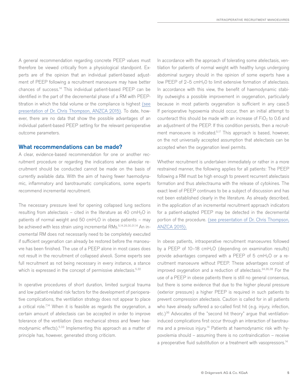A general recommendation regarding concrete PEEP values must therefore be viewed critically from a physiological standpoint. Experts are of the opinion that an individual patient-based adjustment of PEEP following a recruitment manoeuvre may have better chances of success.14 This individual patient-based PEEP can be identified in the part of the decremental phase of a RM with PEEPtitration in which the tidal volume or the compliance is highest [\(see](https://www.youtube.com/watch?v=sU7sgTH2seA&feature=youtu.be) [presentation of Dr. Chris Thompson, ANZCA 2015\)](https://www.youtube.com/watch?v=sU7sgTH2seA&feature=youtu.be). To date, however, there are no data that show the possible advantages of an individual patient-based PEEP setting for the relevant perioperative outcome parameters.

#### What recommendations can be made?

A clear, evidence-based recommendation for one or another recruitment procedure or regarding the indications when alveolar recruitment should be conducted cannot be made on the basis of currently available data. With the aim of having fewer haemodynamic, inflammatory and barotraumatic complications, some experts recommend incremental recruitment.

The necessary pressure level for opening collapsed lung sections resulting from atelectasis – cited in the literature as 40 cmH<sub>2</sub>O in patients of normal weight and 50 cmH<sub>2</sub>O in obese patients – may be achieved with less strain using incremental RMs.<sup>5,14,29,30,31,14</sup> An incremental RM does not necessarily need to be completely executed if sufficient oxygenation can already be restored before the manoeuvre has been finished. The use of a PEEP alone in most cases does not result in the recruitment of collapsed alveoli. Some experts see full recruitment as not being necessary in every instance, a stance which is expressed in the concept of permissive atelectasis.<sup>5,32</sup>

In operative procedures of short duration, limited surgical trauma and low patient-related risk factors for the development of perioperative complications, the ventilation strategy does not appear to place a critical role.<sup>7,14</sup> When it is feasible as regards the oxygenation, a certain amount of atelectasis can be accepted in order to improve tolerance of the ventilation (less mechanical stress and fewer haemodynamic effects).5,33 Implementing this approach as a matter of principle has, however, generated strong criticism.

In accordance with the approach of tolerating some atelectasis, ventilation for patients of normal weight with healthy lungs undergoing abdominal surgery should in the opinion of some experts have a low PEEP of  $2-5$  cmH<sub>2</sub>O to limit extensive formation of atelectasis. In accordance with this view, the benefit of haemodynamic stability outweighs a possible improvement in oxygenation, particularly because in most patients oxygenation is sufficient in any case.5 If perioperative hypoxemia should occur, then an initial attempt to counteract this should be made with an increase of  $FiO<sub>2</sub>$  to 0.6 and an adjustment of the PEEP. If this condition persists, then a recruitment manoeuvre is indicated.<sup>5,17</sup> This approach is based, however, on the not universally accepted assumption that atelectasis can be accepted when the oxygenation level permits.

Whether recruitment is undertaken immediately or rather in a more restrained manner, the following applies for all patients: The PEEP following a RM must be high enough to prevent recurrent atelectasis formation and thus atelectrauma with the release of cytokines. The exact level of PEEP continues to be a subject of discussion and has not been established clearly in the literature. As already described, in the application of an incremental recruitment approach indicators for a patient-adapted PEEP may be detected in the decremental portion of the procedure. [\(see presentation of Dr. Chris Thompson,](https://www.youtube.com/watch?v=sU7sgTH2seA&feature=youtu.be) [ANZCA 2015\)](https://www.youtube.com/watch?v=sU7sgTH2seA&feature=youtu.be).

In obese patients, intraoperative recruitment manoeuvres followed by a PEEP of 10–18 cmH<sub>2</sub>O (depending on examination results) provide advantages compared with a PEEP of  $5 \text{ cmH}_2\text{O}$  or a recruitment manoeuvre without PEEP. These advantages consist of improved oxygenation and a reduction of atelectasis.34,35,38 For the use of a PEEP in obese patients there is still no general consensus, but there is some evidence that due to the higher pleural pressure (exterior pressure) a higher PEEP is required in such patients to prevent compression atelectasis. Caution is called for in all patients who have already suffered a so-called first hit (e.g. injury, infection, etc.)<sup>36</sup> Advocates of the "second hit theory" argue that ventilationinduced complications first occur through an interaction of barotrauma and a previous injury.<sup>14</sup> Patients at haemodynamic risk with hypovolemia should – assuming there is no contraindication – receive a preoperative fluid substitution or a treatment with vasopressors.<sup>14</sup>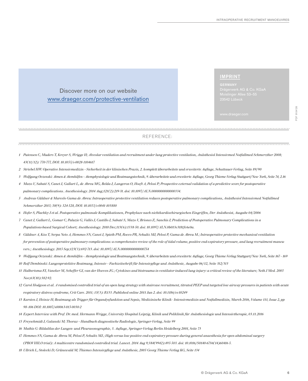# Discover more on our website [www.draeger.com/protective-ventilation](http://www.draeger.com/protective-ventilation)

#### IMPRINT

REFERENCE:

- *1 Putensen C, Muders T, Kreyer S, Wrigge H; Alveolar ventilation and recruitment under lung protective ventilation, Anästhesiol Intensivmed Notfallmed Schmerzther 2008; 43(11/12): 770-777, DOI: 10.1055/s-0028-1104617*
- *2 Striebel HW: Operative Intensivmedizin Sicherheit in der klinischen Praxis, 2. komplett überarbeitete und erweiterte Auflage, Schattauer-Verlag, Seite 89/90*
- *3 Wolfgang Oczenski: Atmen & Atemhilfen Atemphysiologie und Beatmungstechnik, 9. überarbeitete und erweiterte Auflage, Georg Thieme Verlag Stuttgart/New York, Seite 74, 2.16*
- *4 Mazo V, Sabaté S, Canet J, Gallart L, de Abreu MG, Belda J, Langeron O, Hoeft A, Pelosi P; Prospective external validation of a predictive score for postoperative pulmonary complications. Anesthesiology. 2014 Aug;121(2):219-31. doi: 10.1097/ALN.0000000000000334.*
- *5 Andreas Güldner & Marcelo Gama de Abreu: Intraoperative protective ventilation reduces postoperative pulmonary complications, Anästhesiol Intensivmed Notfallmed Schmerzther 2015; 50(9): 524-528, DOI: 10.1055/s-0041-103880*
- *6 Hofer S, Plachky J et al. Postoperative pulmonale Komplikationen, Prophylaxe nach nichtkardiochirurgischen Eingriffen, Der Anästhesist, Ausgabe 04/2006*
- *7 Canet J, Gallart L, Gomar C, Paluzie G, Vallès J, Castillo J, Sabaté S, Mazo V, Briones Z, Sanchis J; Prediction of Postoperative Pulmonary Complications in a Populations-based Surgical Cohort; Anesthesiology. 2010 Dec;113(6):1338-50. doi: 10.1097/ALN.0b013e3181fc6e0a.*
- *8 Güldner A, Kiss T, Serpa Neto A, Hemmes SN, Canet J, Spieth PM, Rocco PR, Schultz MJ, Pelosi P, Gama de Abreu M.; Intraoperative protective mechanical ventilation for prevention of postoperative pulmonary complications: a comprehensive review of the role of tidal volume, positive end-expiratory pressure, and lung recruitment maneuvers.; Anesthesiology. 2015 Sep;123(3):692-713. doi: 10.1097/ALN.0000000000000754*
- *9 Wolfgang Oczenski: Atmen & Atemhilfen Atemphysiologie und Beatmungstechnik, 9. überarbeitete und erweiterte Auflage, Georg Thieme Verlag Stuttgart/New York, Seite 167 169 10 Rolf Dembinski: Lungenprotektive Beatmung, Intensiv – Fachzeitschrift für Intensivpflege und Anästhesie, Ausgabe 06/12, Seite 312/313*
- *11 Halbertsma FJ, Vaneker M, Scheffer GJ, van der Hoeven JG.; Cytokines and biotrauma in ventilator-induced lung injury: a critical review of the literature; Neth J Med. 2005*
- *Nov;63(10):382-92.*
- *12 Carol Hodgson et al. A randomised controlled trial of an open lung strategy with staircase recruitment, titrated PEEP and targeted low airway pressures in patients with acute respiratory distress syndrome, Crit Care. 2011; 15(3): R133. Published online 2011 Jun 2. doi: 10.1186/cc10249*
- *13 Karsten J, Heinze H; Beatmung als Trigger für Organdysfunktion und Sepsis, Medizinische Klinik Intensivmedizin und Notfallmedizin, March 2016, Volume 111, Issue 2, pp 98–106 DOI: 10.1007/s00063-015-0030-2*
- *14 Expert Interview with Prof. Dr. med. Hermann Wrigge, University Hospital Leipzig, Klinik und Poliklinik für Anästhesiologie und Intensivtherapie, 03.11.2016*
- *15 Freyschmidt J, Galanski M; Thorax Handbuch diagnostische Radiologie, Springer-Verlag, Seite 99*
- *16 Mathis G: Bildaltlas der Lungen- und Pleurasonographie, 3. Auflage, Springer-Verlag Berlin Heidelberg 2001, Seite 73*
- *17 Hemmes SN, Gama de Abreu M, Pelosi P, Schultz MJ.; High versus low positive end-expiratory pressure during general anaesthesia for open abdominal surgery (PROVHILO trial): A multicentre randomised controlled trial. Lancet. 2014 Aug 9;384(9942):495-503. doi: 10.1016/S0140-6736(14)60416-5.*
- *18 Ullrich L, Stolecki D, Grünewald M; Thiemes Intensivpflege und Anästhesie, 2005 Georg Thieme Verlag KG, Seite 134*